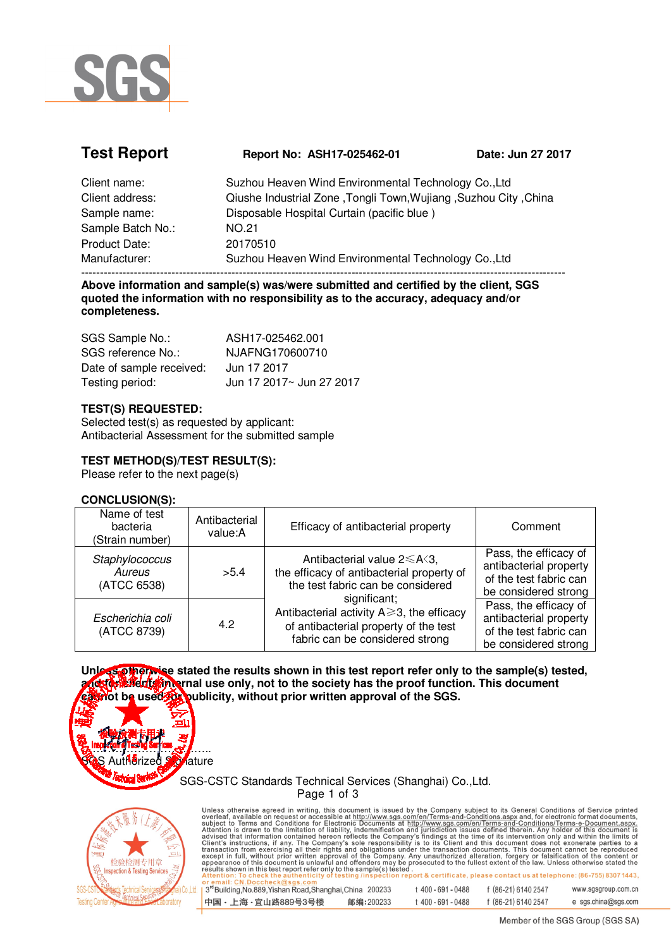

| Report No: ASH17-025462-01                                       | Date: Jun 27 2017 |  |  |
|------------------------------------------------------------------|-------------------|--|--|
| Suzhou Heaven Wind Environmental Technology Co., Ltd             |                   |  |  |
| Ciushe Industrial Zone, Tongli Town, Wujiang, Suzhou City, China |                   |  |  |
| Disposable Hospital Curtain (pacific blue)                       |                   |  |  |
| <b>NO.21</b>                                                     |                   |  |  |
| 20170510                                                         |                   |  |  |
| Suzhou Heaven Wind Environmental Technology Co., Ltd             |                   |  |  |
|                                                                  |                   |  |  |

--------------------------------------------------------------------------------------------------------------------------------- **Above information and sample(s) was/were submitted and certified by the client, SGS quoted the information with no responsibility as to the accuracy, adequacy and/or completeness.** 

| SGS Sample No.:          | ASH17-025462.001         |
|--------------------------|--------------------------|
| SGS reference No.:       | NJAFNG170600710          |
| Date of sample received: | Jun 17 2017              |
| Testing period:          | Jun 17 2017~ Jun 27 2017 |

#### **TEST(S) REQUESTED:**

Selected test(s) as requested by applicant: Antibacterial Assessment for the submitted sample

#### **TEST METHOD(S)/TEST RESULT(S):**

Please refer to the next page(s)

#### **CONCLUSION(S):**

| Name of test<br>bacteria<br>(Strain number) | Antibacterial<br>value:A | Efficacy of antibacterial property                                                                                                                                                                                                                                        | Comment                                                                                           |
|---------------------------------------------|--------------------------|---------------------------------------------------------------------------------------------------------------------------------------------------------------------------------------------------------------------------------------------------------------------------|---------------------------------------------------------------------------------------------------|
| Staphylococcus<br>Aureus<br>(ATCC 6538)     | >5.4                     | Antibacterial value $2 \leq A \leq 3$ ,<br>the efficacy of antibacterial property of<br>the test fabric can be considered<br>significant;<br>Antibacterial activity $A \geq 3$ , the efficacy<br>of antibacterial property of the test<br>fabric can be considered strong | Pass, the efficacy of<br>antibacterial property<br>of the test fabric can<br>be considered strong |
| Escherichia coli<br>(ATCC 8739)             | 4.2                      |                                                                                                                                                                                                                                                                           | Pass, the efficacy of<br>antibacterial property<br>of the test fabric can<br>be considered strong |

**Unless otherwise stated the results shown in this test report refer only to the sample(s) tested, and for clients internal use only, not to the society has the proof function. This document can be used for publicity, without prior written approval of the SGS.** 

SGS-CSTC Standards Technical Services (Shanghai) Co.,Ltd.



 $\mathcal{L}$  inspection of results between  $\mathcal{L}$ .....

Aature

**Page 1 of 3**<br> **Page 1 of 3**<br>
Unless otherwise agreed in writing, this document is issued by the Company subject to its General Conditions of Service printed<br>
overleaf, available on request or accessible at http://www.sgs Attention: To check the authenticity<br>or email: CN.Doccheck@sgs.com

| 1 3 <sup>rd</sup> Building, No.889, Yishan Road, Shanghai, China 200233 |           | $400 - 691 - 0488$ | f (86-21) 6140 2547 | www.sgsgroup.com.cn |
|-------------------------------------------------------------------------|-----------|--------------------|---------------------|---------------------|
| ┃中国・上海・宜山路889号3号楼                                                       | 邮编:200233 | : 400 - 691 - 0488 | f (86-21) 6140 2547 | e sgs.china@sgs.com |

Member of the SGS Group (SGS SA)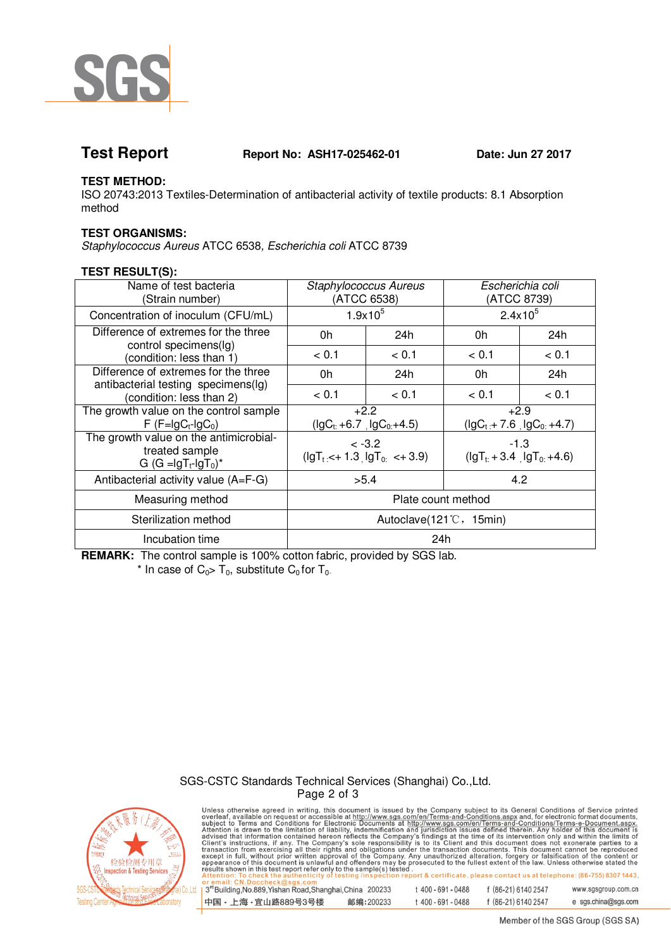

**Test Report Report No: ASH17-025462-01 Date: Jun 27 2017** 

### **TEST METHOD:**

ISO 20743:2013 Textiles-Determination of antibacterial activity of textile products: 8.1 Absorption method

### **TEST ORGANISMS:**

Staphylococcus Aureus ATCC 6538, Escherichia coli ATCC 8739

### **TEST RESULT(S):**

| Name of test bacteria<br>(Strain number)                                              | <b>Staphylococcus Aureus</b><br>(ATCC 6538) |       | Escherichia coli<br>(ATCC 8739)        |       |
|---------------------------------------------------------------------------------------|---------------------------------------------|-------|----------------------------------------|-------|
| Concentration of inoculum (CFU/mL)                                                    | $1.9x10^{5}$                                |       | $2.4x10^5$                             |       |
| Difference of extremes for the three                                                  | 0h                                          | 24h   | 0h                                     | 24h   |
| control specimens(lg)<br>(condition: less than 1)                                     | < 0.1                                       | < 0.1 | < 0.1                                  | < 0.1 |
| Difference of extremes for the three<br>antibacterial testing specimens(lg)           | 0h                                          | 24h   | 0h                                     | 24h   |
| (condition: less than 2)                                                              | < 0.1                                       | < 0.1 | < 0.1                                  | < 0.1 |
| The growth value on the control sample<br>$F$ (F=lgC <sub>t</sub> -lgC <sub>0</sub> ) | $+2.2$<br>$(\lg C_t + 6.7 \lg C_0 + 4.5)$   |       | $+2.9$<br>$(lgCt + 7.6$ $lgC0 + 4.7)$  |       |
| The growth value on the antimicrobial-<br>treated sample<br>G $(G =  gT_t -  gT_0)^*$ | $< -3.2$<br>$( gT_t <+1.3  gT_0 <+3.9)$     |       | $-1.3$<br>$(lgT_t + 3.4, lgT_0 + 4.6)$ |       |
| Antibacterial activity value (A=F-G)                                                  | >5.4                                        |       | 4.2                                    |       |
| Measuring method                                                                      | Plate count method                          |       |                                        |       |
| Sterilization method                                                                  | Autoclave(121°C, 15min)                     |       |                                        |       |
| Incubation time                                                                       | 24h                                         |       |                                        |       |

**REMARK:** The control sample is 100% cotton fabric, provided by SGS lab. \* In case of  $C_0 > T_0$ , substitute  $C_0$  for  $T_0$ .

## SGS-CSTC Standards Technical Services (Shanghai) Co.,Ltd.



**Page 2 of 3**<br>
Unless otherwise agreed in writing, this document is issued by the Company subject to its General Conditions of Service printed<br>
overleaf, available on request or accessible at http://www.sgs.com/en/Terms-a i(s) tested .<br>ection report & certificate, please contact us at telephone: (86-755) 8307 1443, sting/ 3rd Building, No.889, Yishan Road, Shanghai, China 200233 t 400-691-0488 f (86-21) 6140 2547 www.sasaroup.com.cn 中国·上海·宜山路889号3号楼 邮编:200233 t 400-691-0488 f (86-21) 6140 2547 e sgs.china@sgs.com